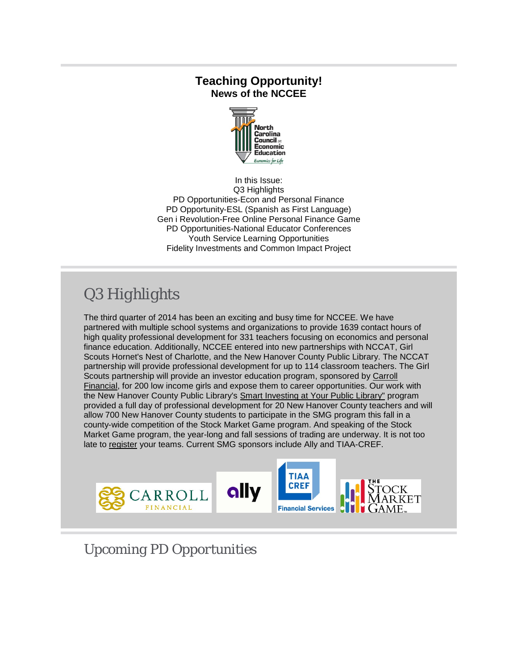### **Teaching Opportunity! News of the NCCEE**



In this Issue: Q3 Highlights PD Opportunities-Econ and Personal Finance PD Opportunity-ESL (Spanish as First Language) Gen i Revolution-Free Online Personal Finance Game PD Opportunities-National Educator Conferences Youth Service Learning Opportunities Fidelity Investments and Common Impact Project

# *Q3 Highlights*

The third quarter of 2014 has been an exciting and busy time for NCCEE. We have partnered with multiple school systems and organizations to provide 1639 contact hours of high quality professional development for 331 teachers focusing on economics and personal finance education. Additionally, NCCEE entered into new partnerships with NCCAT, Girl Scouts Hornet's Nest of Charlotte, and the New Hanover County Public Library. The NCCAT partnership will provide professional development for up to 114 classroom teachers. The Girl Scouts partnership will provide an investor education program, sponsored by [Carroll](http://r20.rs6.net/tn.jsp?e=001a3Jnuos-6OHOeDirMecZv4rzdMYg_4LI06B64m2ixSkL7T1VG3k_jcbTiuJOdtEVUrOjLQCnf25xwh166wvGReqBGNfB21LYGpbn2trkobPALGkyV4OYJw==)  [Financial,](http://r20.rs6.net/tn.jsp?e=001a3Jnuos-6OHOeDirMecZv4rzdMYg_4LI06B64m2ixSkL7T1VG3k_jcbTiuJOdtEVUrOjLQCnf25xwh166wvGReqBGNfB21LYGpbn2trkobPALGkyV4OYJw==) for 200 low income girls and expose them to career opportunities. Our work with the New Hanover County Public Library's [Smart Investing at Your Public Library"](http://r20.rs6.net/tn.jsp?e=001a3Jnuos-6OHOeDirMecZv4rzdMYg_4LI06B64m2ixSkL7T1VG3k_jcbTiuJOdtEVUrOjLQCnf25XazCcXlxb2H4Hxe6kcqeXGk_ZkklrC5ZlLZpS2D4qWQ==) program provided a full day of professional development for 20 New Hanover County teachers and will allow 700 New Hanover County students to participate in the SMG program this fall in a county-wide competition of the Stock Market Game program. And speaking of the Stock Market Game program, the year-long and fall sessions of trading are underway. It is not too late to [register](http://r20.rs6.net/tn.jsp?e=001a3Jnuos-6OHOeDirMecZv4rzdMYg_4LI06B64m2ixSkL7T1VG3k_jcbTiuJOdtEVUrOjLQCnf26tncm5Mv7aK5ziC6tXE-37_gmMiOxVDklfiSns9sgXYQ==) your teams. Current SMG sponsors include Ally and TIAA-CREF.



*Upcoming PD Opportunities*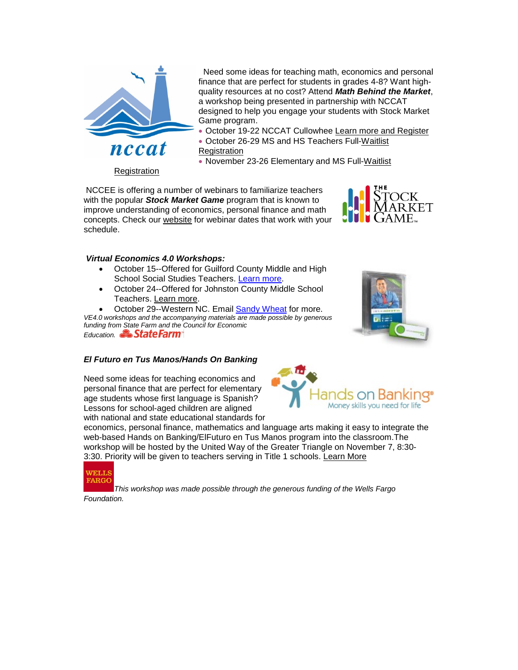

Need some ideas for teaching math, economics and personal finance that are perfect for students in grades 4-8? Want highquality resources at no cost? Attend *Math Behind the Market*, a workshop being presented in partnership with NCCAT designed to help you engage your students with Stock Market Game program.

- October 19-22 NCCAT Cullowhee [Learn more and Register](http://r20.rs6.net/tn.jsp?e=001a3Jnuos-6OHOeDirMecZv4rzdMYg_4LI06B64m2ixSkL7T1VG3k_jcbTiuJOdtEVUrOjLQCnf26HYUgfUjzQvjaERszmBRlnHQ5x9MMCXt0rt0pYwpjD1YP-H0Z7ewukoXZRyuq_7xlQ3qrdDWsupWaSwDQkuZBmIQGkSX5TMD8HOJ8YgLW0emCHzFBi9Ti3iKunHehhj4YPapdpKc0p_T1DCWipzyit7iJLYUpMo_s=)
- October 26-29 MS and HS Teachers Full[-Waitlist](http://r20.rs6.net/tn.jsp?e=001a3Jnuos-6OHOeDirMecZv4rzdMYg_4LI06B64m2ixSkL7T1VG3k_jcbTiuJOdtEVUrOjLQCnf26HYUgfUjzQvspt-YkpKaVezPqQShOrBxEvZyS8a_WRCGlm4MwTrZEeo0TNouXp7Isnp01sdx5G3j3I45XXBYcKjabOh1LnjKhx3TQKBMU6-fSTBpRCK4w6DexCn5tcYoY=)
- [Registration](http://r20.rs6.net/tn.jsp?e=001a3Jnuos-6OHOeDirMecZv4rzdMYg_4LI06B64m2ixSkL7T1VG3k_jcbTiuJOdtEVUrOjLQCnf26HYUgfUjzQvspt-YkpKaVezPqQShOrBxEvZyS8a_WRCGlm4MwTrZEeo0TNouXp7Isnp01sdx5G3j3I45XXBYcKjabOh1LnjKhx3TQKBMU6-fSTBpRCK4w6DexCn5tcYoY=)
	- November 23-26 Elementary and MS Full[-Waitlist](http://r20.rs6.net/tn.jsp?e=001a3Jnuos-6OHOeDirMecZv4rzdMYg_4LI06B64m2ixSkL7T1VG3k_jcbTiuJOdtEVUrOjLQCnf26HYUgfUjzQvspt-YkpKaVezPqQShOrBxEvZyS8a_WRCGlm4MwTrZEeo0TNouXp7Isnp01sdx5G3j3I45XXBYcKjabOh1LnjKhx3TQKBMU6-fNvF2BrAdQ2VlSgLAf1rzM=)

[Registration](http://r20.rs6.net/tn.jsp?e=001a3Jnuos-6OHOeDirMecZv4rzdMYg_4LI06B64m2ixSkL7T1VG3k_jcbTiuJOdtEVUrOjLQCnf26HYUgfUjzQvspt-YkpKaVezPqQShOrBxEvZyS8a_WRCGlm4MwTrZEeo0TNouXp7Isnp01sdx5G3j3I45XXBYcKjabOh1LnjKhx3TQKBMU6-fNvF2BrAdQ2VlSgLAf1rzM=)

NCCEE is offering a number of webinars to familiarize teachers with the popular *Stock Market Game* program that is known to improve understanding of economics, personal finance and math concepts. Check our [website](http://r20.rs6.net/tn.jsp?e=001a3Jnuos-6OHOeDirMecZv4rzdMYg_4LI06B64m2ixSkL7T1VG3k_jcbTiuJOdtEVUrOjLQCnf256FF0A6Me9colZCJRHA-eAZCTayLUIoXX84XCfJDAHHA==) for webinar dates that work with your schedule.



#### *Virtual Economics 4.0 Workshops:*

- October 15--Offered for Guilford County Middle and High School Social Studies Teachers. [Learn more.](http://r20.rs6.net/tn.jsp?e=001a3Jnuos-6OHOeDirMecZv4rzdMYg_4LI06B64m2ixSkL7T1VG3k_jcbTiuJOdtEVUrOjLQCnf26HYUgfUjzQvspt-YkpKaVezPqQShOrBxEvZyS8a_WRCGlm4MwTrZEeo0TNouXp7Isnp01sdx5G3j3I45XXBYcKjabOh1LnjKhx3TQKBMU6-ef-yzzCpgQjOC8GuwoG2gQ=)
- October 24--Offered for Johnston County Middle School Teachers. [Learn more.](http://r20.rs6.net/tn.jsp?e=001a3Jnuos-6OHOeDirMecZv4rzdMYg_4LI06B64m2ixSkL7T1VG3k_jcbTiuJOdtEVUrOjLQCnf26HYUgfUjzQvjaERszmBRlnHQ5x9MMCXt0rt0pYwpjD1YP-H0Z7ewukoXZRyuq_7xlQ3qrdDWsupWaSwDQkuZBm9t3QUfv5XqweQASeQ5bjbse7CaUJxEbQcpw_xO-YoYGydhIz7s3Q_g==)

October 29--Western NC. Email **Sandy Wheat** for more. *VE4.0 workshops and the accompanying materials are made possible by generous funding fro[m State Farm and the C](http://r20.rs6.net/tn.jsp?e=001a3Jnuos-6OHOeDirMecZv4rzdMYg_4LI06B64m2ixSkL7T1VG3k_jcbTiuJOdtEVUrOjLQCnf26tncm5Mv7aK40H9BxGlAZ75F2LhplvG7I=)ouncil for Economic*  Education. **State Farm** 

#### *El Futuro en Tus Manos/Hands On Banking*

Need some ideas for teaching economics and personal finance that are perfect for elementary age students whose first language is Spanish? Lessons for school-aged children are aligned with national and state educational standards for





economics, personal finance, mathematics and language arts making it easy to integrate the web-based Hands on Banking/ElFuturo en Tus Manos program into the classroom.The workshop will be hosted by the United Way of the Greater Triangle on November 7, 8:30- 3:30. Priority will be given to teachers serving in Title 1 schools. [Learn More](http://r20.rs6.net/tn.jsp?e=001a3Jnuos-6OHOeDirMecZv4rzdMYg_4LI06B64m2ixSkL7T1VG3k_jcbTiuJOdtEVUrOjLQCnf26HYUgfUjzQvjaERszmBRlnHQ5x9MMCXt0rt0pYwpjD1YP-H0Z7ewukoXZRyuq_7xlQ3qrdDWsupWaSwDQkuZBmTssyrCmsDrpll7lQKYNMHXRxwouUI4mgIP4yfHkGId0eWg4123L88A==)



*This workshop was made possible through the generous funding of the Wells Fargo Foundation.*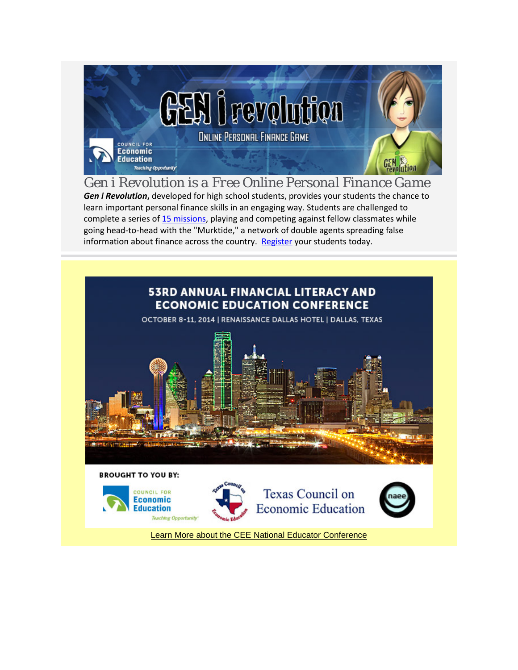

*Gen i Revolution is a Free Online Personal Finance Game Gen i Revolution***,** developed for high school students, provides your students the chance to learn important personal finance skills in an engaging way. Students are challenged to complete a series o[f 15 missions,](http://r20.rs6.net/tn.jsp?e=001a3Jnuos-6OHOeDirMecZv4rzdMYg_4LI06B64m2ixSkL7T1VG3k_jcbTiuJOdtEVUrOjLQCnf273nM4oZcyNspp2lI67fleXPbRwO6DxFvRy7zcNLW8X21088Gv6LGMG) playing and competing against fellow classmates while going head-to-head with the "Murktide," a network of double agents spreading false information about finance across the country. [Register](http://r20.rs6.net/tn.jsp?e=001a3Jnuos-6OHOeDirMecZv4rzdMYg_4LI06B64m2ixSkL7T1VG3k_jcbTiuJOdtEVUrOjLQCnf273nM4oZcyNspp2lI67fleXPbRwO6DxFvQ_Hy5NjdzvYg==) your students today.



**BROUGHT TO YOU BY:** 

COUNCIL FOR

**Economic** 

**Education** 





[Learn More about the CEE National Educator Conference](http://r20.rs6.net/tn.jsp?e=001a3Jnuos-6OHOeDirMecZv4rzdMYg_4LI06B64m2ixSkL7T1VG3k_jcbTiuJOdtEVUrOjLQCnf24ep-VcH0yrHL8StRHvxsY5TiyHRBnhk5gxzk603IlzDsHXRHOzsWokQuqGp961kkU1eE_Ly893hhPa-1wwbSeKCGq_KTqKh9I=)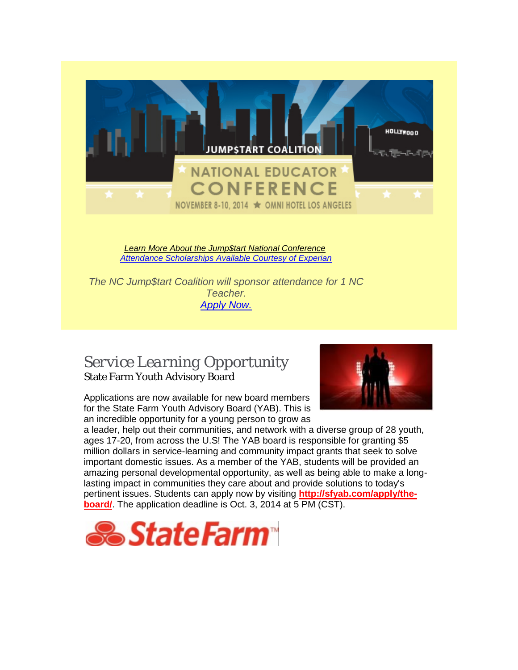

### *Service Learning Opportunity* State Farm Youth Advisory Board

Applications are now available for new board members for the State Farm Youth Advisory Board (YAB). This is an incredible opportunity for a young person to grow as

![](_page_3_Picture_3.jpeg)

a leader, help out their communities, and network with a diverse group of 28 youth, ages 17-20, from across the U.S! The YAB board is responsible for granting \$5 million dollars in service-learning and community impact grants that seek to solve important domestic issues. As a member of the YAB, students will be provided an amazing personal developmental opportunity, as well as being able to make a longlasting impact in communities they care about and provide solutions to today's pertinent issues. Students can apply now by visiting **[http://sfyab.com/apply/the](http://r20.rs6.net/tn.jsp?e=001a3Jnuos-6OHOeDirMecZv4rzdMYg_4LI06B64m2ixSkL7T1VG3k_jcbTiuJOdtEVUrOjLQCnf25K8EY46pzAG51S0BiJbbiFW5vTGaNJfrHf5Z4rMqZpY6mQ2KVTCZ8wmipO7rPF7bg=)[board/](http://r20.rs6.net/tn.jsp?e=001a3Jnuos-6OHOeDirMecZv4rzdMYg_4LI06B64m2ixSkL7T1VG3k_jcbTiuJOdtEVUrOjLQCnf25K8EY46pzAG51S0BiJbbiFW5vTGaNJfrHf5Z4rMqZpY6mQ2KVTCZ8wmipO7rPF7bg=)**. The application deadline is Oct. 3, 2014 at 5 PM (CST).

![](_page_3_Picture_5.jpeg)